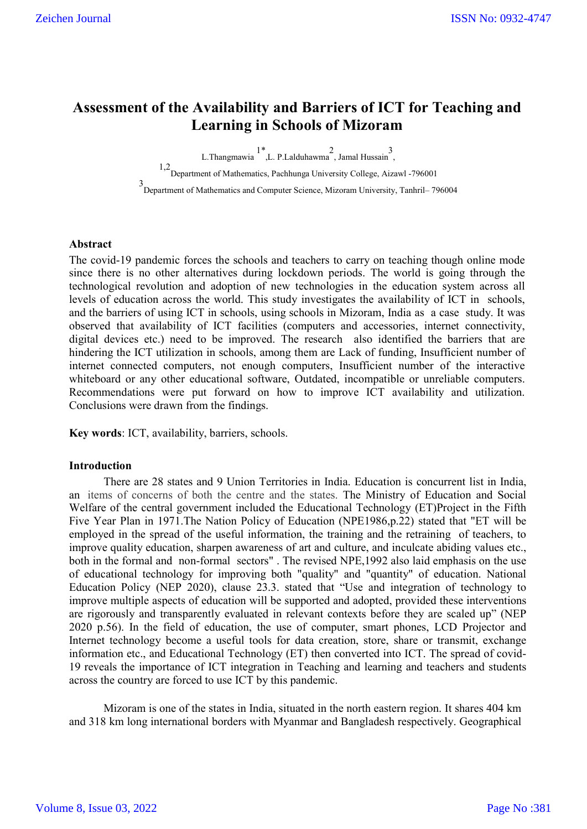# **Assessment of the Availability and Barriers of ICT for Teaching and Learning in Schools of Mizoram**

L.Thangmawia 1\* ,L. P.Lalduhawma 2 , Jamal Hussain 3 ,

 $^{1,2}$ Department of Mathematics, Pachhunga University College, Aizawl -796001 3 Department of Mathematics and Computer Science, Mizoram University, Tanhril– 796004

# **Abstract**

The covid-19 pandemic forces the schools and teachers to carry on teaching though online mode since there is no other alternatives during lockdown periods. The world is going through the technological revolution and adoption of new technologies in the education system across all levels of education across the world. This study investigates the availability of ICT in schools, and the barriers of using ICT in schools, using schools in Mizoram, India as a case study. It was observed that availability of ICT facilities (computers and accessories, internet connectivity, digital devices etc.) need to be improved. The research also identified the barriers that are hindering the ICT utilization in schools, among them are Lack of funding, Insufficient number of internet connected computers, not enough computers, Insufficient number of the interactive whiteboard or any other educational software, Outdated, incompatible or unreliable computers. Recommendations were put forward on how to improve ICT availability and utilization. Conclusions were drawn from the findings.

**Key words**: ICT, availability, barriers, schools.

## **Introduction**

There are 28 states and 9 Union Territories in India. Education is concurrent list in India, an items of concerns of both the centre and the states. The Ministry of Education and Social Welfare of the central government included the Educational Technology (ET)Project in the Fifth Five Year Plan in 1971.The Nation Policy of Education (NPE1986,p.22) stated that "ET will be employed in the spread of the useful information, the training and the retraining of teachers, to improve quality education, sharpen awareness of art and culture, and inculcate abiding values etc., both in the formal and non-formal sectors" . The revised NPE,1992 also laid emphasis on the use of educational technology for improving both "quality" and "quantity" of education. National Education Policy (NEP 2020), clause 23.3. stated that "Use and integration of technology to improve multiple aspects of education will be supported and adopted, provided these interventions are rigorously and transparently evaluated in relevant contexts before they are scaled up" (NEP 2020 p.56). In the field of education, the use of computer, smart phones, LCD Projector and Internet technology become a useful tools for data creation, store, share or transmit, exchange information etc., and Educational Technology (ET) then converted into ICT. The spread of covid-19 reveals the importance of ICT integration in Teaching and learning and teachers and students across the country are forced to use ICT by this pandemic.

Mizoram is one of the states in India, situated in the north eastern region. It shares 404 km and 318 km long international borders with Myanmar and Bangladesh respectively. Geographical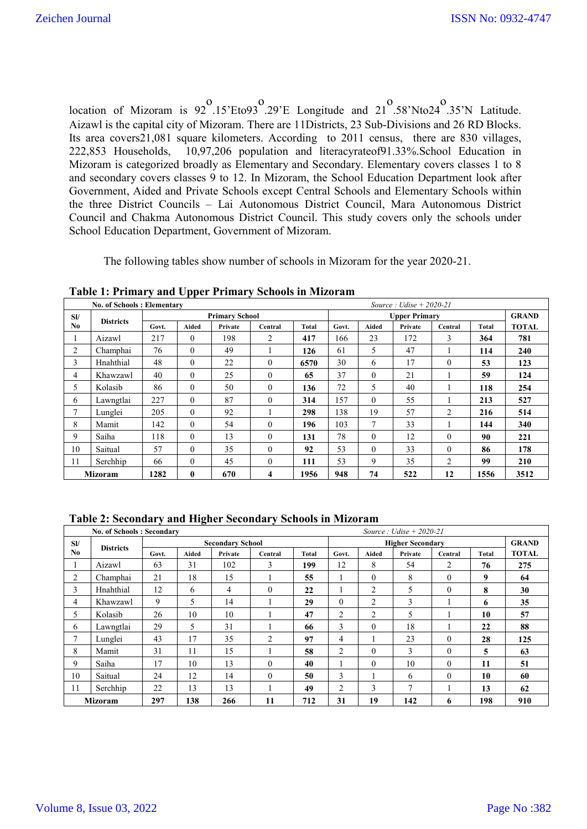location of Mizoram is 92 o .15'Eto93 o .29'E Longitude and 21 o .58'Nto24 o .35'N Latitude. Aizawl is the capital city of Mizoram. There are 11Districts, 23 Sub-Divisions and 26 RD Blocks. Its area covers21,081 square kilometers. According to 2011 census, there are 830 villages, 222,853 Households, 10,97,206 population and literacyrateof91.33%.School Education in Mizoram is categorized broadly as Elementary and Secondary. Elementary covers classes 1 to 8 and secondary covers classes 9 to 12. In Mizoram, the School Education Department look after Government, Aided and Private Schools except Central Schools and Elementary Schools within the three District Councils – Lai Autonomous District Council, Mara Autonomous District Council and Chakma Autonomous District Council. This study covers only the schools under School Education Department, Government of Mizoram.

The following tables show number of schools in Mizoram for the year 2020-21.

**Table 1: Primary and Upper Primary Schools in Mizoram**

|                | <b>No. of Schools: Elementary</b> |                       |              |         |          |              |                      |              | Source: Udise $+ 2020 - 21$ |          |       |              |
|----------------|-----------------------------------|-----------------------|--------------|---------|----------|--------------|----------------------|--------------|-----------------------------|----------|-------|--------------|
| SI/            | <b>Districts</b>                  | <b>Primary School</b> |              |         |          |              | <b>Upper Primary</b> |              |                             |          |       | <b>GRAND</b> |
| N <sub>0</sub> |                                   | Govt.                 | Aided        | Private | Central  | <b>Total</b> | Govt.                | Aided        | Private                     | Central  | Total | <b>TOTAL</b> |
|                | Aizawl                            | 217                   | $\Omega$     | 198     | 2        | 417          | 166                  | 23           | 172                         | 3        | 364   | 781          |
| 2              | Champhai                          | 76                    | $\theta$     | 49      |          | 126          | 61                   | 5            | 47                          | 1        | 114   | 240          |
| 3              | Hnahthial                         | 48                    | $\Omega$     | 22      | $\theta$ | 6570         | 30                   | 6            | 17                          | $\Omega$ | 53    | 123          |
| 4              | Khawzawl                          | 40                    | $\theta$     | 25      | $\theta$ | 65           | 37                   | $\theta$     | 21                          | -1       | 59    | 124          |
| 5.             | Kolasib                           | 86                    | $\theta$     | 50      | $\theta$ | 136          | 72                   | 5            | 40                          | 1        | 118   | 254          |
| 6              | Lawngtlai                         | 227                   | $\theta$     | 87      | $\theta$ | 314          | 157                  | $\mathbf{0}$ | 55                          | -1       | 213   | 527          |
| 7              | Lunglei                           | 205                   | $\theta$     | 92      |          | 298          | 138                  | 19           | 57                          | 2        | 216   | 514          |
| 8              | Mamit                             | 142                   | $\theta$     | 54      | $\theta$ | 196          | 103                  | 7            | 33                          | 1        | 144   | 340          |
| 9              | Saiha                             | 118                   | $\theta$     | 13      | $\theta$ | 131          | 78                   | $\theta$     | 12                          | $\Omega$ | 90    | 221          |
| 10             | Saitual                           | 57                    | $\theta$     | 35      | $\theta$ | 92           | 53                   | $\theta$     | 33                          | $\theta$ | 86    | 178          |
| 11             | Serchhip                          | 66                    | $\Omega$     | 45      | $\theta$ | 111          | 53                   | 9            | 35                          | 2        | 99    | 210          |
|                | <b>Mizoram</b>                    | 1282                  | $\mathbf{0}$ | 670     | 4        | 1956         | 948                  | 74           | 522                         | 12       | 1556  | 3512         |

**Table 2: Secondary and Higher Secondary Schools in Mizoram**

|                              | <b>No. of Schools: Secondary</b> |       |       |                         |          |              | Source: Udise $+ 2020 - 21$ |                |                         |                |       |              |
|------------------------------|----------------------------------|-------|-------|-------------------------|----------|--------------|-----------------------------|----------------|-------------------------|----------------|-------|--------------|
| SI/                          |                                  |       |       | <b>Secondary School</b> |          |              |                             |                | <b>Higher Secondary</b> |                |       | <b>GRAND</b> |
| No                           | <b>Districts</b>                 | Govt. | Aided | Private                 | Central  | <b>Total</b> | Govt.                       | Aided          | Private                 | Central        | Total | <b>TOTAL</b> |
|                              | Aizawl                           | 63    | 31    | 102                     | 3        | 199          | 12                          | 8              | 54                      | 2              | 76    | 275          |
| 2                            | Champhai                         | 21    | 18    | 15                      |          | 55           |                             | $\Omega$       | 8                       | $\theta$       | 9     | 64           |
| 3                            | Hnahthial                        | 12    | 6     | $\overline{4}$          | $\theta$ | 22           |                             | 2              | 5                       | $\theta$       | 8     | 30           |
| 4                            | Khawzawl                         | 9     | 5     | 14                      |          | 29           | $\theta$                    | 2              | 3                       |                | 6     | 35           |
| 5.                           | Kolasib                          | 26    | 10    | 10                      |          | 47           | 2                           | $\overline{2}$ | 5                       |                | 10    | 57           |
| 6                            | Lawngtlai                        | 29    | 5     | 31                      |          | 66           | 3                           | $\theta$       | 18                      | 1              | 22    | 88           |
|                              | Lunglei                          | 43    | 17    | 35                      | 2        | 97           | $\overline{4}$              |                | 23                      | $\theta$       | 28    | 125          |
| 8                            | Mamit                            | 31    | 11    | 15                      |          | 58           | 2                           | $\Omega$       | 3                       | $\Omega$       | 5     | 63           |
| 9                            | Saiha                            | 17    | 10    | 13                      | $\Omega$ | 40           |                             | $\Omega$       | 10                      | $\overline{0}$ | 11    | 51           |
| 10                           | Saitual                          | 24    | 12    | 14                      | $\Omega$ | 50           | 3                           |                | 6                       | $\theta$       | 10    | 60           |
| 11                           | Serchhip                         | 22    | 13    | 13                      |          | 49           | 2                           | 3              | 7                       | 1              | 13    | 62           |
| 297<br>138<br><b>Mizoram</b> |                                  |       |       | 266                     | 11       | 712          | 31                          | 19             | 142                     | 6              | 198   | 910          |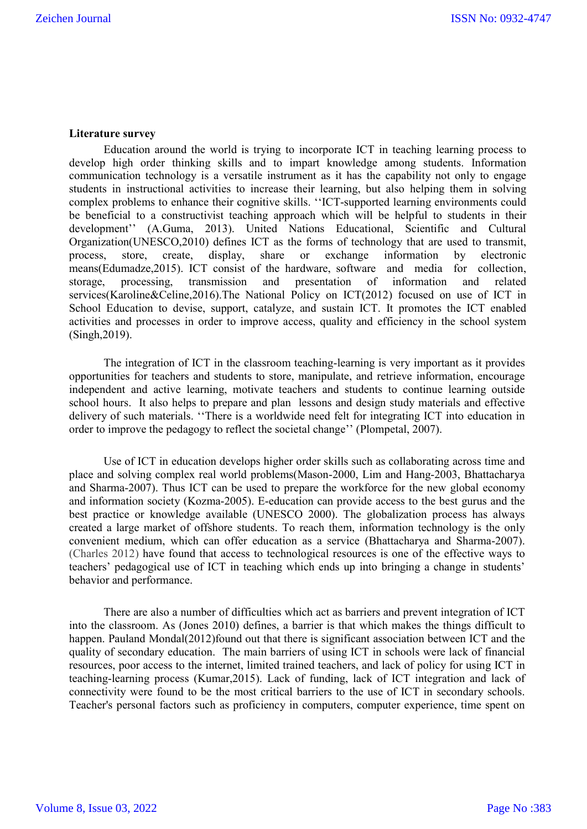## **Literature survey**

Education around the world is trying to incorporate ICT in teaching learning process to develop high order thinking skills and to impart knowledge among students. Information communication technology is a versatile instrument as it has the capability not only to engage students in instructional activities to increase their learning, but also helping them in solving complex problems to enhance their cognitive skills. ''ICT-supported learning environments could be beneficial to a constructivist teaching approach which will be helpful to students in their development'' (A.Guma, 2013). United Nations Educational, Scientific and Cultural Organization(UNESCO,2010) defines ICT as the forms of technology that are used to transmit, process, store, create, display, share or exchange information by electronic means(Edumadze,2015). ICT consist of the hardware, software and media for collection, storage, processing, transmission and presentation of information and related services(Karoline&Celine,2016).The National Policy on ICT(2012) focused on use of ICT in School Education to devise, support, catalyze, and sustain ICT. It promotes the ICT enabled activities and processes in order to improve access, quality and efficiency in the school system (Singh,2019).

The integration of ICT in the classroom teaching-learning is very important as it provides opportunities for teachers and students to store, manipulate, and retrieve information, encourage independent and active learning, motivate teachers and students to continue learning outside school hours. It also helps to prepare and plan lessons and design study materials and effective delivery of such materials. ''There is a worldwide need felt for integrating ICT into education in order to improve the pedagogy to reflect the societal change'' (Plompetal, 2007).

Use of ICT in education develops higher order skills such as collaborating across time and place and solving complex real world problems(Mason-2000, Lim and Hang-2003, Bhattacharya and Sharma-2007). Thus ICT can be used to prepare the workforce for the new global economy and information society (Kozma-2005). E-education can provide access to the best gurus and the best practice or knowledge available (UNESCO 2000). The globalization process has always created a large market of offshore students. To reach them, information technology is the only convenient medium, which can offer education as a service (Bhattacharya and Sharma-2007). (Charles 2012) have found that access to technological resources is one of the effective ways to teachers' pedagogical use of ICT in teaching which ends up into bringing a change in students' behavior and performance.

There are also a number of difficulties which act as barriers and prevent integration of ICT into the classroom. As (Jones 2010) defines, a barrier is that which makes the things difficult to happen. Pauland Mondal(2012)found out that there is significant association between ICT and the quality of secondary education. The main barriers of using ICT in schools were lack of financial resources, poor access to the internet, limited trained teachers, and lack of policy for using ICT in teaching-learning process (Kumar,2015). Lack of funding, lack of ICT integration and lack of connectivity were found to be the most critical barriers to the use of ICT in secondary schools. Teacher's personal factors such as proficiency in computers, computer experience, time spent on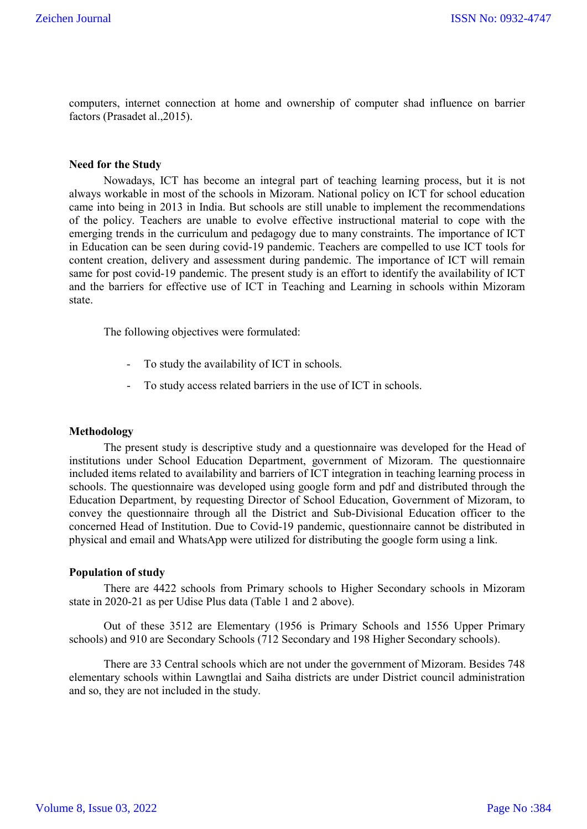computers, internet connection at home and ownership of computer shad influence on barrier factors (Prasadet al.,2015).

#### **Need for the Study**

Nowadays, ICT has become an integral part of teaching learning process, but it is not always workable in most of the schools in Mizoram. National policy on ICT for school education came into being in 2013 in India. But schools are still unable to implement the recommendations of the policy. Teachers are unable to evolve effective instructional material to cope with the emerging trends in the curriculum and pedagogy due to many constraints. The importance of ICT in Education can be seen during covid-19 pandemic. Teachers are compelled to use ICT tools for content creation, delivery and assessment during pandemic. The importance of ICT will remain same for post covid-19 pandemic. The present study is an effort to identify the availability of ICT and the barriers for effective use of ICT in Teaching and Learning in schools within Mizoram state.

The following objectives were formulated:

- To study the availability of ICT in schools.
- To study access related barriers in the use of ICT in schools.

#### **Methodology**

The present study is descriptive study and a questionnaire was developed for the Head of institutions under School Education Department, government of Mizoram. The questionnaire included items related to availability and barriers of ICT integration in teaching learning process in schools. The questionnaire was developed using google form and pdf and distributed through the Education Department, by requesting Director of School Education, Government of Mizoram, to convey the questionnaire through all the District and Sub-Divisional Education officer to the concerned Head of Institution. Due to Covid-19 pandemic, questionnaire cannot be distributed in physical and email and WhatsApp were utilized for distributing the google form using a link.

#### **Population of study**

There are 4422 schools from Primary schools to Higher Secondary schools in Mizoram state in 2020-21 as per Udise Plus data (Table 1 and 2 above).

Out of these 3512 are Elementary (1956 is Primary Schools and 1556 Upper Primary schools) and 910 are Secondary Schools (712 Secondary and 198 Higher Secondary schools).

There are 33 Central schools which are not under the government of Mizoram. Besides 748 elementary schools within Lawngtlai and Saiha districts are under District council administration and so, they are not included in the study.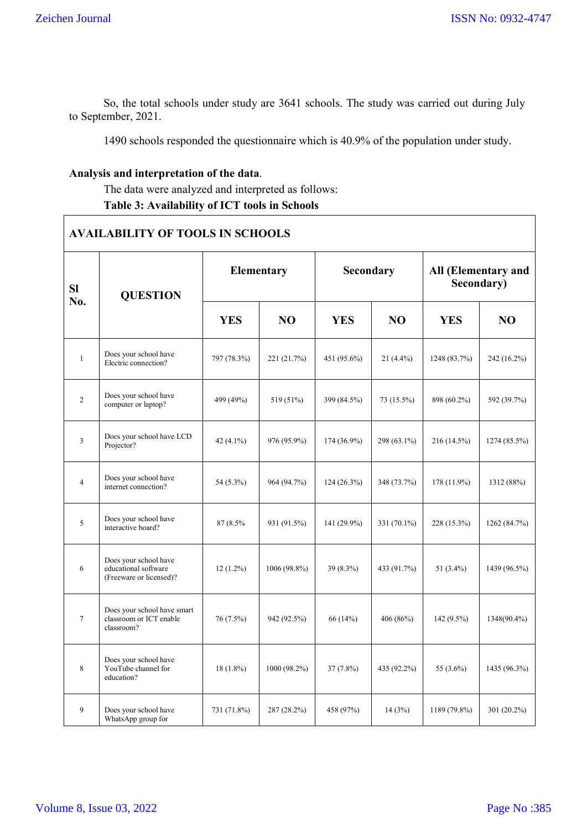So, the total schools under study are 3641 schools. The study was carried out during July to September, 2021.

1490 schools responded the questionnaire which is 40.9% of the population under study.

# **Analysis and interpretation of the data**.

The data were analyzed and interpreted as follows: **Table 3: Availability of ICT tools in Schools**

|                | <b>AVAILABILITY OF TOOLS IN SCHOOLS</b>                                  |              |                 |               |                |                                   |              |  |  |  |  |  |  |
|----------------|--------------------------------------------------------------------------|--------------|-----------------|---------------|----------------|-----------------------------------|--------------|--|--|--|--|--|--|
| SI<br>No.      | <b>QUESTION</b>                                                          |              | Elementary      | Secondary     |                | All (Elementary and<br>Secondary) |              |  |  |  |  |  |  |
|                |                                                                          | <b>YES</b>   | NO <sub>1</sub> | <b>YES</b>    | N <sub>O</sub> | <b>YES</b>                        | NO           |  |  |  |  |  |  |
| $\mathbf{1}$   | Does your school have<br>Electric connection?                            | 797 (78.3%)  | 221 (21.7%)     | 451 (95.6%)   | 21 (4.4%)      | 1248 (83.7%)                      | 242 (16.2%)  |  |  |  |  |  |  |
| $\overline{c}$ | Does your school have<br>computer or laptop?                             | 499 (49%)    | 519 (51%)       | 399 (84.5%)   | 73 (15.5%)     | 898 (60.2%)                       | 592 (39.7%)  |  |  |  |  |  |  |
| 3              | Does your school have LCD<br>Projector?                                  | 42 $(4.1\%)$ | 976 (95.9%)     | $174(36.9\%)$ | 298 (63.1%)    | 216 (14.5%)                       | 1274 (85.5%) |  |  |  |  |  |  |
| $\overline{4}$ | Does your school have<br>internet connection?                            | 54 (5.3%)    | 964 (94.7%)     | $124(26.3\%)$ | 348 (73.7%)    | 178 (11.9%)                       | 1312 (88%)   |  |  |  |  |  |  |
| 5              | Does your school have<br>interactive board?                              | 87 (8.5%)    | 931 (91.5%)     | 141 (29.9%)   | 331 (70.1%)    | 228 (15.3%)                       | 1262 (84.7%) |  |  |  |  |  |  |
| 6              | Does your school have<br>educational software<br>(Freeware or licensed)? | $12(1.2\%)$  | 1006 (98.8%)    | 39 (8.3%)     | 433 (91.7%)    | 51 (3.4%)                         | 1439 (96.5%) |  |  |  |  |  |  |
| $\tau$         | Does your school have smart<br>classroom or ICT enable<br>classroom?     | 76 (7.5%)    | 942 (92.5%)     | 66 (14%)      | 406 (86%)      | 142 (9.5%)                        | 1348(90.4%)  |  |  |  |  |  |  |
| 8              | Does your school have<br>YouTube channel for<br>education?               | $18(1.8\%)$  | 1000 (98.2%)    | $37(7.8\%)$   | 435 (92.2%)    | 55 (3.6%)                         | 1435 (96.3%) |  |  |  |  |  |  |
| 9              | Does your school have<br>WhatsApp group for                              | 731 (71.8%)  | 287 (28.2%)     | 458 (97%)     | 14(3%)         | 1189 (79.8%)                      | 301 (20.2%)  |  |  |  |  |  |  |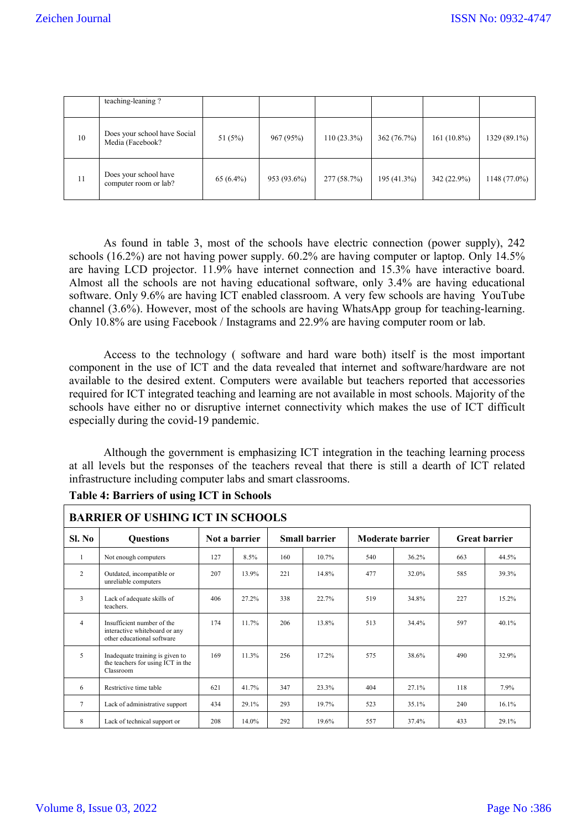|    | teaching-leaning?                                |             |             |               |             |               |              |
|----|--------------------------------------------------|-------------|-------------|---------------|-------------|---------------|--------------|
| 10 | Does your school have Social<br>Media (Facebook? | 51 $(5%)$   | 967 (95%)   | $110(23.3\%)$ | 362 (76.7%) | $161(10.8\%)$ | 1329 (89.1%) |
| 11 | Does your school have<br>computer room or lab?   | $65(6.4\%)$ | 953 (93.6%) | 277 (58.7%)   | 195 (41.3%) | 342 (22.9%)   | 1148 (77.0%) |

As found in table 3, most of the schools have electric connection (power supply), 242 schools (16.2%) are not having power supply. 60.2% are having computer or laptop. Only 14.5% are having LCD projector. 11.9% have internet connection and 15.3% have interactive board. Almost all the schools are not having educational software, only 3.4% are having educational software. Only 9.6% are having ICT enabled classroom. A very few schools are having YouTube channel (3.6%). However, most of the schools are having WhatsApp group for teaching-learning. Only 10.8% are using Facebook / Instagrams and 22.9% are having computer room or lab.

Access to the technology ( software and hard ware both) itself is the most important component in the use of ICT and the data revealed that internet and software/hardware are not available to the desired extent. Computers were available but teachers reported that accessories required for ICT integrated teaching and learning are not available in most schools. Majority of the schools have either no or disruptive internet connectivity which makes the use of ICT difficult especially during the covid-19 pandemic.

Although the government is emphasizing ICT integration in the teaching learning process at all levels but the responses of the teachers reveal that there is still a dearth of ICT related infrastructure including computer labs and smart classrooms.

|                | <b>BARRIER OF USHING ICT IN SCHOOLS</b>                                                   |     |               |     |                      |                  |       |     |                      |  |  |  |  |  |
|----------------|-------------------------------------------------------------------------------------------|-----|---------------|-----|----------------------|------------------|-------|-----|----------------------|--|--|--|--|--|
| Sl. No         | <b>Ouestions</b>                                                                          |     | Not a barrier |     | <b>Small barrier</b> | Moderate barrier |       |     | <b>Great barrier</b> |  |  |  |  |  |
|                | Not enough computers                                                                      | 127 | 8.5%          | 160 | 10.7%                | 540              | 36.2% | 663 | 44.5%                |  |  |  |  |  |
| $\overline{2}$ | Outdated, incompatible or<br>unreliable computers                                         | 207 | 13.9%         | 221 | 14.8%                | 477              | 32.0% | 585 | 39.3%                |  |  |  |  |  |
| 3              | Lack of adequate skills of<br>teachers.                                                   | 406 | 27.2%         | 338 | 22.7%                | 519              | 34.8% | 227 | 15.2%                |  |  |  |  |  |
| $\overline{4}$ | Insufficient number of the<br>interactive whiteboard or any<br>other educational software | 174 | 11.7%         | 206 | 13.8%                | 513              | 34.4% | 597 | 40.1%                |  |  |  |  |  |
| 5              | Inadequate training is given to<br>the teachers for using ICT in the<br>Classroom         | 169 | 11.3%         | 256 | 17.2%                | 575              | 38.6% | 490 | 32.9%                |  |  |  |  |  |
| 6              | Restrictive time table                                                                    | 621 | 41.7%         | 347 | 23.3%                | 404              | 27.1% | 118 | 7.9%                 |  |  |  |  |  |
| 7              | Lack of administrative support                                                            | 434 | 29.1%         | 293 | 19.7%                | 523              | 35.1% | 240 | 16.1%                |  |  |  |  |  |
| 8              | Lack of technical support or                                                              | 208 | 14.0%         | 292 | 19.6%                | 557              | 37.4% | 433 | 29.1%                |  |  |  |  |  |

# **Table 4: Barriers of using ICT in Schools**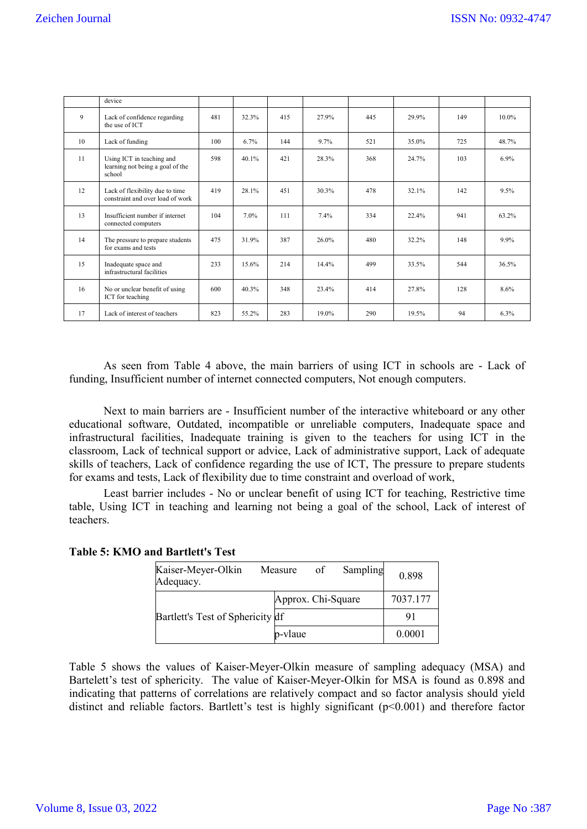|    | device                                                                  |     |          |     |          |     |       |     |          |
|----|-------------------------------------------------------------------------|-----|----------|-----|----------|-----|-------|-----|----------|
| 9  | Lack of confidence regarding<br>the use of ICT                          | 481 | 32.3%    | 415 | 27.9%    | 445 | 29.9% | 149 | $10.0\%$ |
| 10 | Lack of funding                                                         | 100 | 6.7%     | 144 | 9.7%     | 521 | 35.0% | 725 | 48.7%    |
| 11 | Using ICT in teaching and<br>learning not being a goal of the<br>school | 598 | $40.1\%$ | 421 | 28.3%    | 368 | 24.7% | 103 | 6.9%     |
| 12 | Lack of flexibility due to time<br>constraint and over load of work     | 419 | 28.1%    | 451 | 30.3%    | 478 | 32.1% | 142 | 9.5%     |
| 13 | Insufficient number if internet<br>connected computers                  | 104 | 7.0%     | 111 | 7.4%     | 334 | 22.4% | 941 | 63.2%    |
| 14 | The pressure to prepare students<br>for exams and tests                 | 475 | 31.9%    | 387 | $26.0\%$ | 480 | 32.2% | 148 | $9.9\%$  |
| 15 | Inadequate space and<br>infrastructural facilities                      | 233 | 15.6%    | 214 | 14.4%    | 499 | 33.5% | 544 | 36.5%    |
| 16 | No or unclear benefit of using<br>ICT for teaching                      | 600 | 40.3%    | 348 | 23.4%    | 414 | 27.8% | 128 | 8.6%     |
| 17 | Lack of interest of teachers                                            | 823 | 55.2%    | 283 | 19.0%    | 290 | 19.5% | 94  | 6.3%     |

As seen from Table 4 above, the main barriers of using ICT in schools are - Lack of funding, Insufficient number of internet connected computers, Not enough computers.

Next to main barriers are - Insufficient number of the interactive whiteboard or any other educational software, Outdated, incompatible or unreliable computers, Inadequate space and infrastructural facilities, Inadequate training is given to the teachers for using ICT in the classroom, Lack of technical support or advice, Lack of administrative support, Lack of adequate skills of teachers, Lack of confidence regarding the use of ICT, The pressure to prepare students for exams and tests, Lack of flexibility due to time constraint and overload of work,

Least barrier includes - No or unclear benefit of using ICT for teaching, Restrictive time table, Using ICT in teaching and learning not being a goal of the school, Lack of interest of teachers.

| Kaiser-Meyer-Olkin<br>Adequacy.  | Measure            | -of | Sampling | 0.898    |
|----------------------------------|--------------------|-----|----------|----------|
|                                  | Approx. Chi-Square |     |          | 7037.177 |
| Bartlett's Test of Sphericity df |                    |     |          | 91       |
|                                  | p-vlaue            |     |          | 0.0001   |

Table 5 shows the values of Kaiser-Meyer-Olkin measure of sampling adequacy (MSA) and Bartelett's test of sphericity. The value of Kaiser-Meyer-Olkin for MSA is found as 0.898 and indicating that patterns of correlations are relatively compact and so factor analysis should yield distinct and reliable factors. Bartlett's test is highly significant (p<0.001) and therefore factor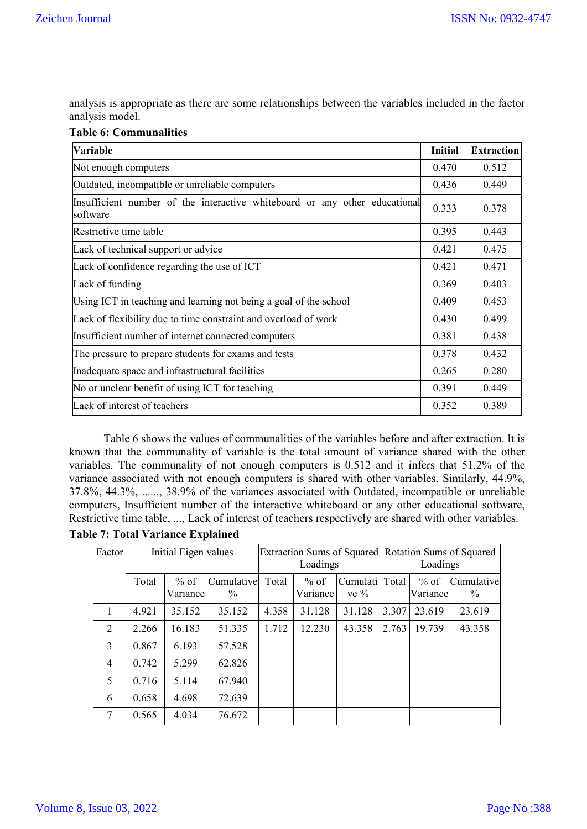analysis is appropriate as there are some relationships between the variables included in the factor analysis model.

# **Table 6: Communalities**

| Variable                                                                               | <b>Initial</b> | <b>Extraction</b> |
|----------------------------------------------------------------------------------------|----------------|-------------------|
| Not enough computers                                                                   | 0.470          | 0.512             |
| Outdated, incompatible or unreliable computers                                         | 0.436          | 0.449             |
| Insufficient number of the interactive whiteboard or any other educational<br>software | 0.333          | 0.378             |
| Restrictive time table                                                                 | 0.395          | 0.443             |
| Lack of technical support or advice                                                    | 0.421          | 0.475             |
| Lack of confidence regarding the use of ICT                                            | 0.421          | 0.471             |
| Lack of funding                                                                        | 0.369          | 0.403             |
| Using ICT in teaching and learning not being a goal of the school                      | 0.409          | 0.453             |
| Lack of flexibility due to time constraint and overload of work                        | 0.430          | 0.499             |
| Insufficient number of internet connected computers                                    | 0.381          | 0.438             |
| The pressure to prepare students for exams and tests                                   | 0.378          | 0.432             |
| Inadequate space and infrastructural facilities                                        | 0.265          | 0.280             |
| No or unclear benefit of using ICT for teaching                                        | 0.391          | 0.449             |
| Lack of interest of teachers                                                           | 0.352          | 0.389             |

Table 6 shows the values of communalities of the variables before and after extraction. It is known that the communality of variable is the total amount of variance shared with the other variables. The communality of not enough computers is 0.512 and it infers that 51.2% of the variance associated with not enough computers is shared with other variables. Similarly, 44.9%, 37.8%, 44.3%, ......, 38.9% of the variances associated with Outdated, incompatible or unreliable computers, Insufficient number of the interactive whiteboard or any other educational software, Restrictive time table, ..., Lack of interest of teachers respectively are shared with other variables.

**Table 7: Total Variance Explained**

| Factor         | Initial Eigen values |                    |                    |       | Loadings           |                           | Extraction Sums of Squared Rotation Sums of Squared<br>Loadings |                    |                             |
|----------------|----------------------|--------------------|--------------------|-------|--------------------|---------------------------|-----------------------------------------------------------------|--------------------|-----------------------------|
|                | Total                | $%$ of<br>Variance | Cumulative<br>$\%$ | Total | $%$ of<br>Variance | Cumulati Total<br>ve $\%$ |                                                                 | $%$ of<br>Variance | Cumulative<br>$\frac{0}{0}$ |
| 1              | 4.921                | 35.152             | 35.152             | 4.358 | 31.128             | 31.128                    | 3.307                                                           | 23.619             | 23.619                      |
| 2              | 2.266                | 16.183             | 51.335             | 1.712 | 12.230             | 43.358                    | 2.763                                                           | 19.739             | 43.358                      |
| $\mathcal{E}$  | 0.867                | 6.193              | 57.528             |       |                    |                           |                                                                 |                    |                             |
| $\overline{4}$ | 0.742                | 5.299              | 62.826             |       |                    |                           |                                                                 |                    |                             |
| 5              | 0.716                | 5.114              | 67.940             |       |                    |                           |                                                                 |                    |                             |
| 6              | 0.658                | 4.698              | 72.639             |       |                    |                           |                                                                 |                    |                             |
| 7              | 0.565                | 4.034              | 76.672             |       |                    |                           |                                                                 |                    |                             |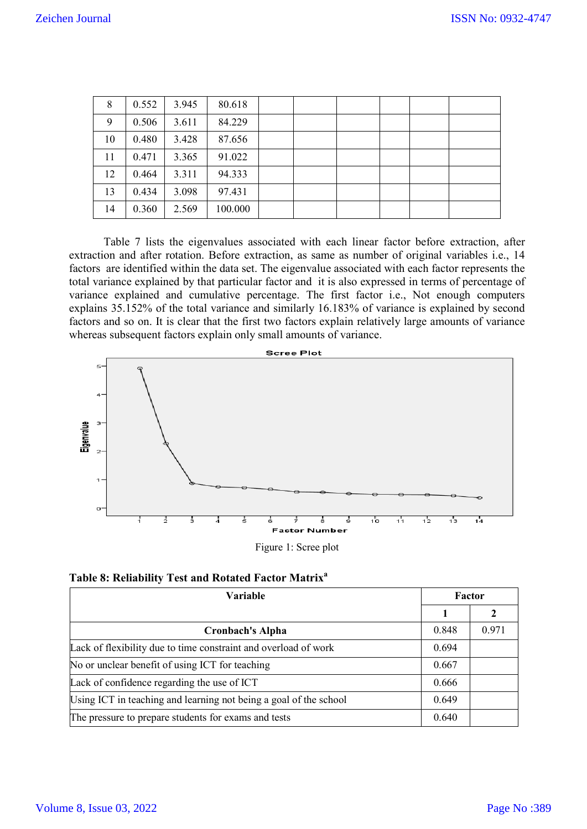| 8  | 0.552 | 3.945 | 80.618  |  |  |  |
|----|-------|-------|---------|--|--|--|
| 9  | 0.506 | 3.611 | 84.229  |  |  |  |
| 10 | 0.480 | 3.428 | 87.656  |  |  |  |
| 11 | 0.471 | 3.365 | 91.022  |  |  |  |
| 12 | 0.464 | 3.311 | 94.333  |  |  |  |
| 13 | 0.434 | 3.098 | 97.431  |  |  |  |
| 14 | 0.360 | 2.569 | 100.000 |  |  |  |

Table 7 lists the eigenvalues associated with each linear factor before extraction, after extraction and after rotation. Before extraction, as same as number of original variables i.e., 14 factors are identified within the data set. The eigenvalue associated with each factor represents the total variance explained by that particular factor and it is also expressed in terms of percentage of variance explained and cumulative percentage. The first factor i.e., Not enough computers explains 35.152% of the total variance and similarly 16.183% of variance is explained by second factors and so on. It is clear that the first two factors explain relatively large amounts of variance whereas subsequent factors explain only small amounts of variance.



| Table 8: Reliability Test and Rotated Factor Matrix <sup>a</sup> |  |  |
|------------------------------------------------------------------|--|--|
|                                                                  |  |  |

| Variable                                                          | Factor |       |
|-------------------------------------------------------------------|--------|-------|
|                                                                   |        |       |
| <b>Cronbach's Alpha</b>                                           | 0.848  | 0.971 |
| Lack of flexibility due to time constraint and overload of work   | 0.694  |       |
| No or unclear benefit of using ICT for teaching                   | 0.667  |       |
| Lack of confidence regarding the use of ICT                       | 0.666  |       |
| Using ICT in teaching and learning not being a goal of the school | 0.649  |       |
| The pressure to prepare students for exams and tests              | 0.640  |       |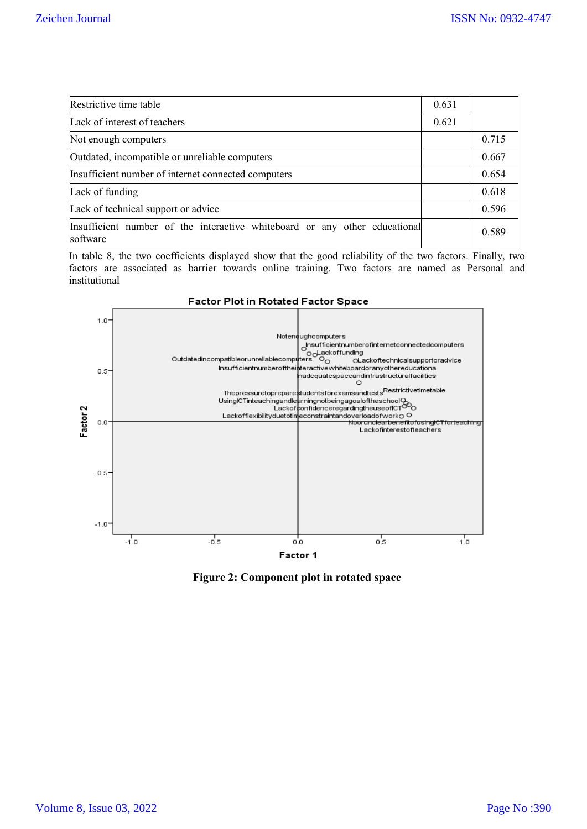| Restrictive time table                                                                 | 0.631 |       |
|----------------------------------------------------------------------------------------|-------|-------|
| Lack of interest of teachers                                                           | 0.621 |       |
| Not enough computers                                                                   |       | 0.715 |
| Outdated, incompatible or unreliable computers                                         |       | 0.667 |
| Insufficient number of internet connected computers                                    |       | 0.654 |
| Lack of funding                                                                        |       | 0.618 |
| Lack of technical support or advice                                                    |       | 0.596 |
| Insufficient number of the interactive whiteboard or any other educational<br>software |       | 0.589 |

In table 8, the two coefficients displayed show that the good reliability of the two factors. Finally, two factors are associated as barrier towards online training. Two factors are named as Personal and institutional



**Figure 2: Component plot in rotated space**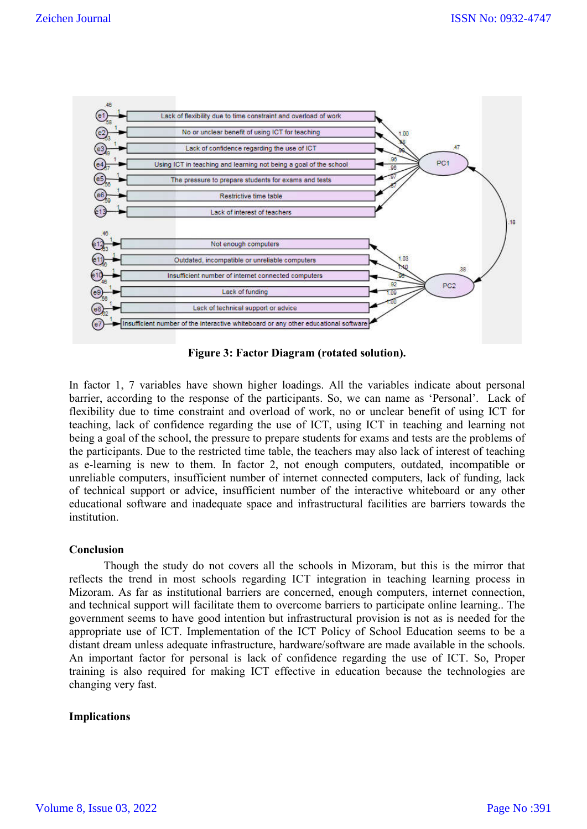

**Figure 3: Factor Diagram (rotated solution).**

In factor 1, 7 variables have shown higher loadings. All the variables indicate about personal barrier, according to the response of the participants. So, we can name as 'Personal'. Lack of flexibility due to time constraint and overload of work, no or unclear benefit of using ICT for teaching, lack of confidence regarding the use of ICT, using ICT in teaching and learning not being a goal of the school, the pressure to prepare students for exams and tests are the problems of the participants. Due to the restricted time table, the teachers may also lack of interest of teaching as e-learning is new to them. In factor 2, not enough computers, outdated, incompatible or unreliable computers, insufficient number of internet connected computers, lack of funding, lack of technical support or advice, insufficient number of the interactive whiteboard or any other educational software and inadequate space and infrastructural facilities are barriers towards the institution.

## **Conclusion**

Though the study do not covers all the schools in Mizoram, but this is the mirror that reflects the trend in most schools regarding ICT integration in teaching learning process in Mizoram. As far as institutional barriers are concerned, enough computers, internet connection, and technical support will facilitate them to overcome barriers to participate online learning.. The government seems to have good intention but infrastructural provision is not as is needed for the appropriate use of ICT. Implementation of the ICT Policy of School Education seems to be a distant dream unless adequate infrastructure, hardware/software are made available in the schools. An important factor for personal is lack of confidence regarding the use of ICT. So, Proper training is also required for making ICT effective in education because the technologies are changing very fast.

## **Implications**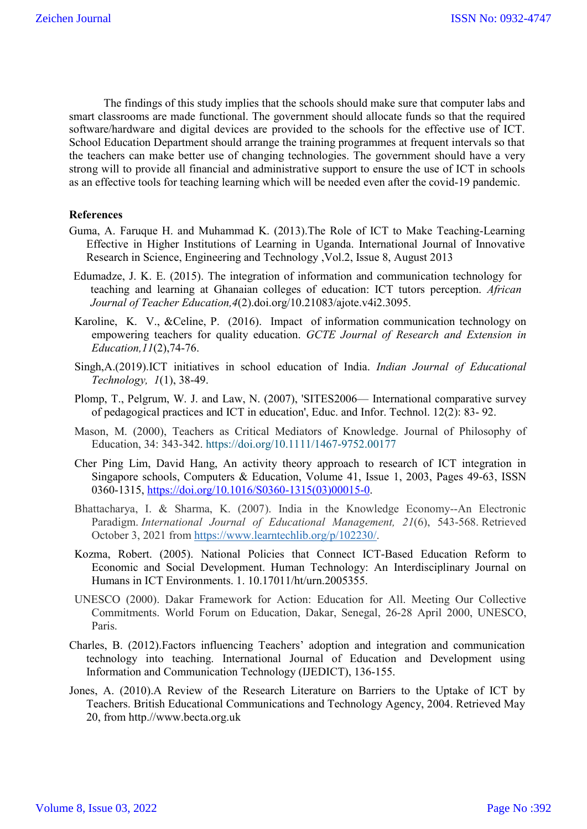The findings of this study implies that the schools should make sure that computer labs and smart classrooms are made functional. The government should allocate funds so that the required software/hardware and digital devices are provided to the schools for the effective use of ICT. School Education Department should arrange the training programmes at frequent intervals so that the teachers can make better use of changing technologies. The government should have a very strong will to provide all financial and administrative support to ensure the use of ICT in schools as an effective tools for teaching learning which will be needed even after the covid-19 pandemic.

## **References**

- Guma, A. Faruque H. and Muhammad K. (2013).The Role of ICT to Make Teaching-Learning Effective in Higher Institutions of Learning in Uganda. International Journal of Innovative Research in Science, Engineering and Technology ,Vol.2, Issue 8, August 2013
- Edumadze, J. K. E. (2015). The integration of information and communication technology for teaching and learning at Ghanaian colleges of education: ICT tutors perception. *African Journal of Teacher Education,4*(2).doi.org/10.21083/ajote.v4i2.3095.
- Karoline, K. V., &Celine, P. (2016). Impact of information communication technology on empowering teachers for quality education. *GCTE Journal of Research and Extension in Education,11*(2),74-76.
- Singh,A.(2019).ICT initiatives in school education of India. *Indian Journal of Educational Technology, 1*(1), 38-49.
- Plomp, T., Pelgrum, W. J. and Law, N. (2007), 'SITES2006— International comparative survey of pedagogical practices and ICT in education', Educ. and Infor. Technol. 12(2): 83- 92.
- Mason, M. (2000), Teachers as Critical Mediators of Knowledge. Journal of Philosophy of Education, 34: 343-342. https://doi.org/10.1111/1467-9752.00177
- Cher Ping Lim, David Hang, An activity theory approach to research of ICT integration in Singapore schools, Computers & Education, Volume 41, Issue 1, 2003, Pages 49-63, ISSN 0360-1315, https://doi.org/10.1016/S0360-1315(03)00015-0.
- Bhattacharya, I. & Sharma, K. (2007). India in the Knowledge Economy--An Electronic Paradigm. *International Journal of Educational Management, 21*(6), 543-568. Retrieved October 3, 2021 from https://www.learntechlib.org/p/102230/.
- Kozma, Robert. (2005). National Policies that Connect ICT-Based Education Reform to Economic and Social Development. Human Technology: An Interdisciplinary Journal on Humans in ICT Environments. 1. 10.17011/ht/urn.2005355.
- UNESCO (2000). Dakar Framework for Action: Education for All. Meeting Our Collective Commitments. World Forum on Education, Dakar, Senegal, 26-28 April 2000, UNESCO, Paris.
- Charles, B. (2012).Factors influencing Teachers' adoption and integration and communication technology into teaching. International Journal of Education and Development using Information and Communication Technology (IJEDICT), 136-155.
- Jones, A. (2010).A Review of the Research Literature on Barriers to the Uptake of ICT by Teachers. British Educational Communications and Technology Agency, 2004. Retrieved May 20, from http.//www.becta.org.uk